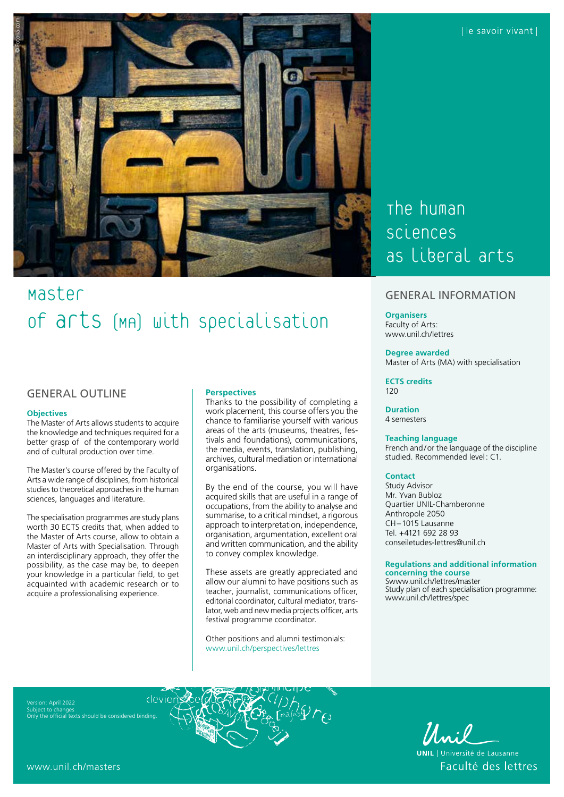

# Master of arts (MA) with specialisation

# GENERAL OUTLINE

#### **Objectives**

The Master of Arts allows students to acquire the knowledge and techniques required for a better grasp of of the contemporary world and of cultural production over time.

The Master's course offered by the Faculty of Arts a wide range of disciplines, from historical studies to theoretical approaches in the human sciences, languages and literature.

The specialisation programmes are study plans worth 30 ECTS credits that, when added to the Master of Arts course, allow to obtain a Master of Arts with Specialisation. Through an interdisciplinary approach, they offer the possibility, as the case may be, to deepen your knowledge in a particular field, to get acquainted with academic research or to acquire a professionalising experience.

## **Perspectives**

Thanks to the possibility of completing a work placement, this course offers you the chance to familiarise yourself with various areas of the arts (museums, theatres, festivals and foundations), communications, the media, events, translation, publishing, archives, cultural mediation or international organisations.

By the end of the course, you will have acquired skills that are useful in a range of occupations, from the ability to analyse and summarise, to a critical mindset, a rigorous approach to interpretation, independence, organisation, argumentation, excellent oral and written communication, and the ability to convey complex knowledge.

These assets are greatly appreciated and allow our alumni to have positions such as teacher, journalist, communications officer, editorial coordinator, cultural mediator, translator, web and new media projects officer, arts festival programme coordinator.

Other positions and alumni testimonials: [www.unil.ch/perspectives/lettres](http://www.unil.ch/perspectives/lettres)

# The human sciences as liberal arts

# GENERAL INFORMATION

## **Organisers**

Faculty of Arts: [www.unil.ch/lettres](http://www.unil.ch/lettres)

### **Degree awarded**

Master of Arts (MA) with specialisation

**ECTS credits** 120

#### **Duration** 4 semesters

#### **Teaching language**

French and/or the language of the discipline studied. Recommended level: C1.

#### **Contact**

Study Advisor Mr. Yvan Bubloz Quartier UNIL-Chamberonne Anthropole 2050 CH–1015 Lausanne Tel. +4121 692 28 93 [conseiletudes-lettres@unil.ch](mailto:conseiletudes_lettres@unil.ch)

### **Regulations and additional information concerning the course**

[Swww.unil.ch/lettres/master](http://www.unil.ch/lettres/master) Study plan of each specialisation programme: [www.unil.ch/lettres/spec](http://www.unil.ch/lettres/spec)

Version: April 2022 Subject to changes Only the official texts should be considered binding.



Unil | Université de Lausanne

Faculté des lettres